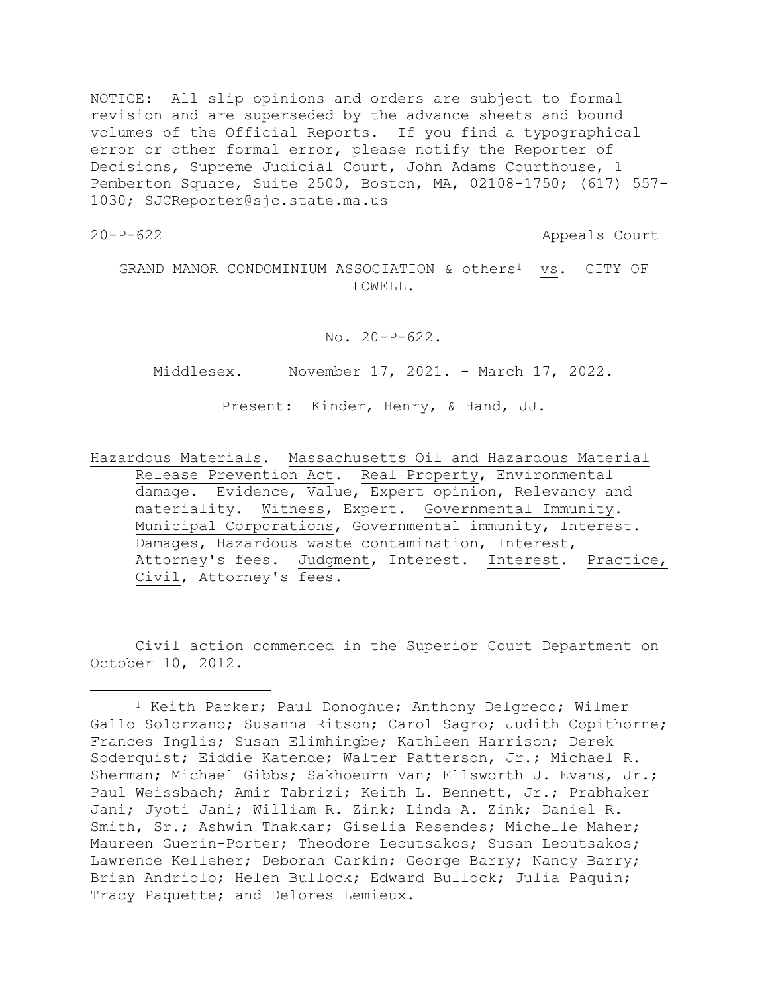NOTICE: All slip opinions and orders are subject to formal revision and are superseded by the advance sheets and bound volumes of the Official Reports. If you find a typographical error or other formal error, please notify the Reporter of Decisions, Supreme Judicial Court, John Adams Courthouse, 1 Pemberton Square, Suite 2500, Boston, MA, 02108-1750; (617) 557- 1030; SJCReporter@sjc.state.ma.us

20-P-622 Appeals Court

GRAND MANOR CONDOMINIUM ASSOCIATION & others<sup>1</sup> vs. CITY OF LOWELL.

No. 20-P-622.

Middlesex. November 17, 2021. - March 17, 2022.

Present: Kinder, Henry, & Hand, JJ.

Hazardous Materials. Massachusetts Oil and Hazardous Material Release Prevention Act. Real Property, Environmental damage. Evidence, Value, Expert opinion, Relevancy and materiality. Witness, Expert. Governmental Immunity. Municipal Corporations, Governmental immunity, Interest. Damages, Hazardous waste contamination, Interest, Attorney's fees. Judgment, Interest. Interest. Practice, Civil, Attorney's fees.

Civil action commenced in the Superior Court Department on October 10, 2012.

<sup>&</sup>lt;sup>1</sup> Keith Parker; Paul Donoghue; Anthony Delgreco; Wilmer Gallo Solorzano; Susanna Ritson; Carol Sagro; Judith Copithorne; Frances Inglis; Susan Elimhingbe; Kathleen Harrison; Derek Soderquist; Eiddie Katende; Walter Patterson, Jr.; Michael R. Sherman; Michael Gibbs; Sakhoeurn Van; Ellsworth J. Evans, Jr.; Paul Weissbach; Amir Tabrizi; Keith L. Bennett, Jr.; Prabhaker Jani; Jyoti Jani; William R. Zink; Linda A. Zink; Daniel R. Smith, Sr.; Ashwin Thakkar; Giselia Resendes; Michelle Maher; Maureen Guerin-Porter; Theodore Leoutsakos; Susan Leoutsakos; Lawrence Kelleher; Deborah Carkin; George Barry; Nancy Barry; Brian Andriolo; Helen Bullock; Edward Bullock; Julia Paquin; Tracy Paquette; and Delores Lemieux.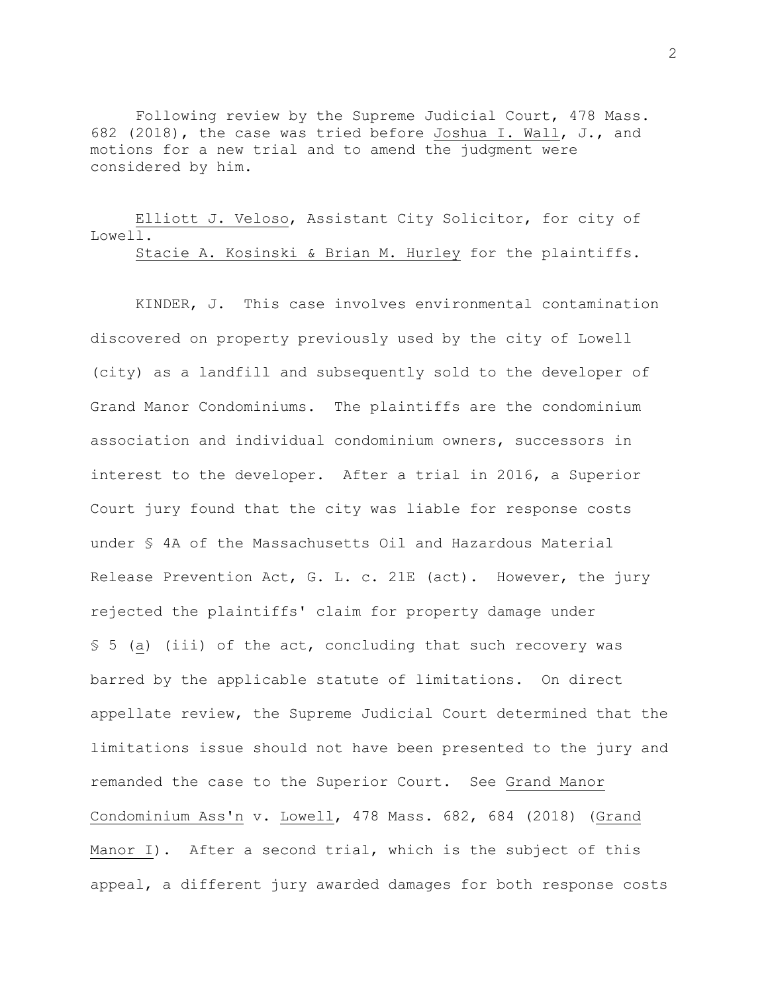Following review by the Supreme Judicial Court, 478 Mass. 682 (2018), the case was tried before Joshua I. Wall, J., and motions for a new trial and to amend the judgment were considered by him.

## Elliott J. Veloso, Assistant City Solicitor, for city of Lowell. Stacie A. Kosinski & Brian M. Hurley for the plaintiffs.

KINDER, J. This case involves environmental contamination discovered on property previously used by the city of Lowell (city) as a landfill and subsequently sold to the developer of Grand Manor Condominiums. The plaintiffs are the condominium association and individual condominium owners, successors in interest to the developer. After a trial in 2016, a Superior Court jury found that the city was liable for response costs under § 4A of the Massachusetts Oil and Hazardous Material Release Prevention Act, G. L. c. 21E (act). However, the jury rejected the plaintiffs' claim for property damage under § 5 (a) (iii) of the act, concluding that such recovery was barred by the applicable statute of limitations. On direct appellate review, the Supreme Judicial Court determined that the limitations issue should not have been presented to the jury and remanded the case to the Superior Court. See Grand Manor Condominium Ass'n v. Lowell, 478 Mass. 682, 684 (2018) (Grand Manor I). After a second trial, which is the subject of this appeal, a different jury awarded damages for both response costs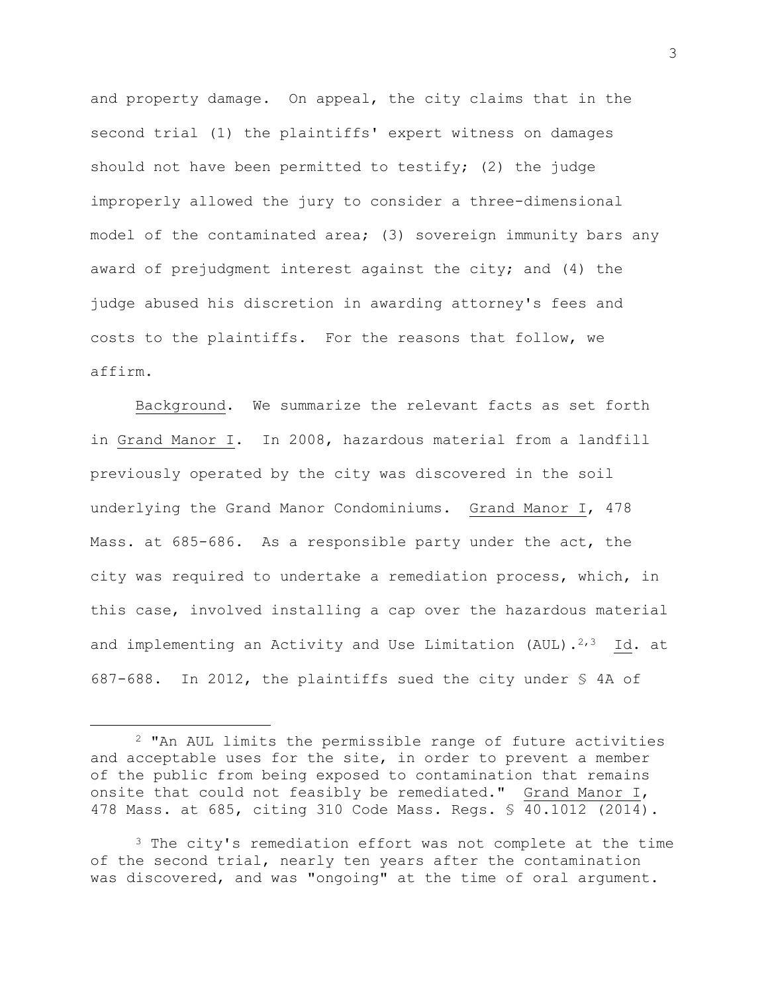and property damage. On appeal, the city claims that in the second trial (1) the plaintiffs' expert witness on damages should not have been permitted to testify; (2) the judge improperly allowed the jury to consider a three-dimensional model of the contaminated area; (3) sovereign immunity bars any award of prejudgment interest against the city; and (4) the judge abused his discretion in awarding attorney's fees and costs to the plaintiffs. For the reasons that follow, we affirm.

Background. We summarize the relevant facts as set forth in Grand Manor I. In 2008, hazardous material from a landfill previously operated by the city was discovered in the soil underlying the Grand Manor Condominiums. Grand Manor I, 478 Mass. at 685-686. As a responsible party under the act, the city was required to undertake a remediation process, which, in this case, involved installing a cap over the hazardous material and implementing an Activity and Use Limitation (AUL).<sup>2,3</sup> Id. at 687-688. In 2012, the plaintiffs sued the city under § 4A of

<sup>3</sup> The city's remediation effort was not complete at the time of the second trial, nearly ten years after the contamination was discovered, and was "ongoing" at the time of oral argument.

<sup>2</sup> "An AUL limits the permissible range of future activities and acceptable uses for the site, in order to prevent a member of the public from being exposed to contamination that remains onsite that could not feasibly be remediated." Grand Manor I, 478 Mass. at 685, citing 310 Code Mass. Regs. § 40.1012 (2014).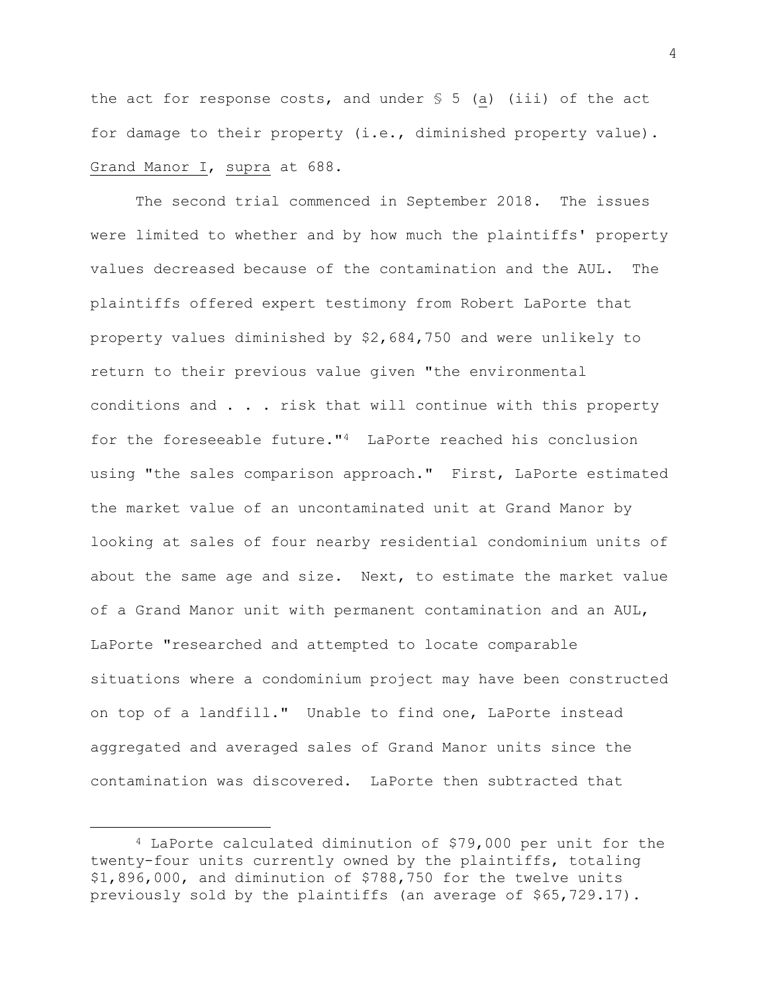the act for response costs, and under  $\S$  5 (a) (iii) of the act for damage to their property (i.e., diminished property value). Grand Manor I, supra at 688.

The second trial commenced in September 2018. The issues were limited to whether and by how much the plaintiffs' property values decreased because of the contamination and the AUL. The plaintiffs offered expert testimony from Robert LaPorte that property values diminished by \$2,684,750 and were unlikely to return to their previous value given "the environmental conditions and . . . risk that will continue with this property for the foreseeable future."4 LaPorte reached his conclusion using "the sales comparison approach." First, LaPorte estimated the market value of an uncontaminated unit at Grand Manor by looking at sales of four nearby residential condominium units of about the same age and size. Next, to estimate the market value of a Grand Manor unit with permanent contamination and an AUL, LaPorte "researched and attempted to locate comparable situations where a condominium project may have been constructed on top of a landfill." Unable to find one, LaPorte instead aggregated and averaged sales of Grand Manor units since the contamination was discovered. LaPorte then subtracted that

<sup>4</sup> LaPorte calculated diminution of \$79,000 per unit for the twenty-four units currently owned by the plaintiffs, totaling \$1,896,000, and diminution of \$788,750 for the twelve units previously sold by the plaintiffs (an average of \$65,729.17).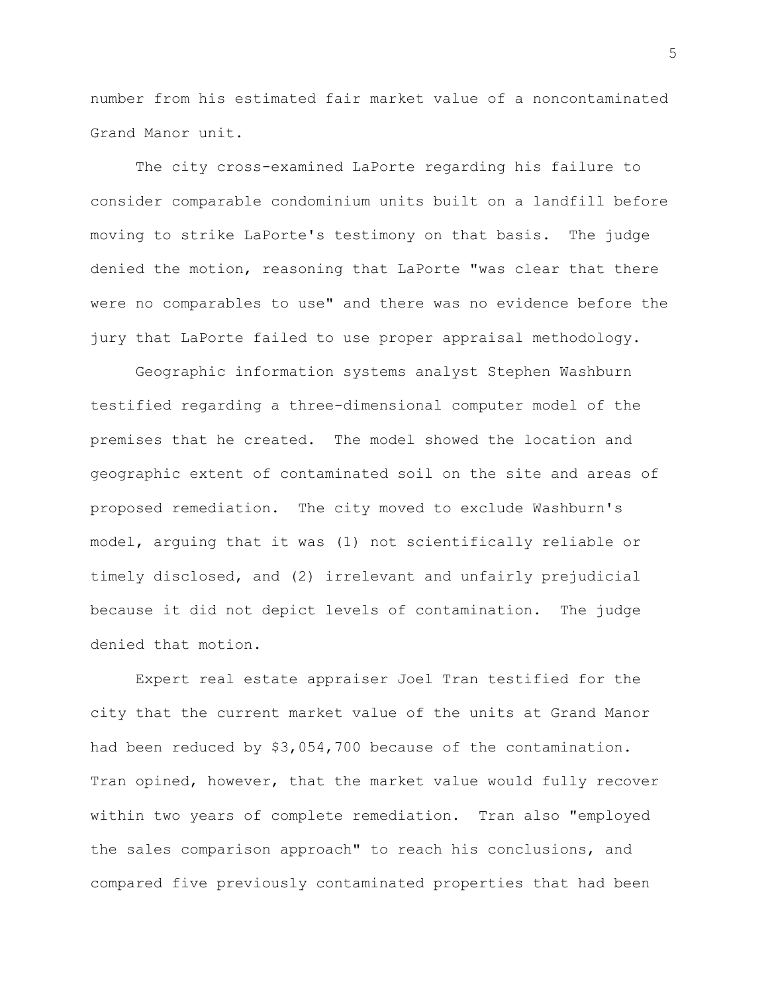number from his estimated fair market value of a noncontaminated Grand Manor unit.

The city cross-examined LaPorte regarding his failure to consider comparable condominium units built on a landfill before moving to strike LaPorte's testimony on that basis. The judge denied the motion, reasoning that LaPorte "was clear that there were no comparables to use" and there was no evidence before the jury that LaPorte failed to use proper appraisal methodology.

Geographic information systems analyst Stephen Washburn testified regarding a three-dimensional computer model of the premises that he created. The model showed the location and geographic extent of contaminated soil on the site and areas of proposed remediation. The city moved to exclude Washburn's model, arguing that it was (1) not scientifically reliable or timely disclosed, and (2) irrelevant and unfairly prejudicial because it did not depict levels of contamination. The judge denied that motion.

Expert real estate appraiser Joel Tran testified for the city that the current market value of the units at Grand Manor had been reduced by \$3,054,700 because of the contamination. Tran opined, however, that the market value would fully recover within two years of complete remediation. Tran also "employed the sales comparison approach" to reach his conclusions, and compared five previously contaminated properties that had been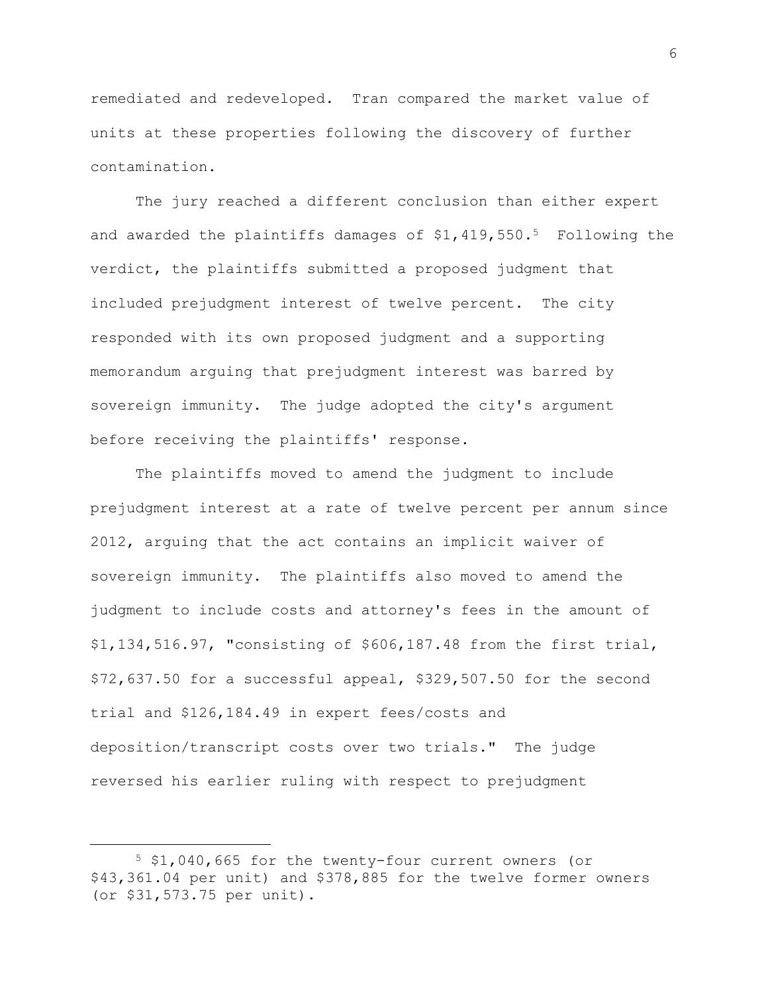remediated and redeveloped. Tran compared the market value of units at these properties following the discovery of further contamination.

The jury reached a different conclusion than either expert and awarded the plaintiffs damages of \$1,419,550.5 Following the verdict, the plaintiffs submitted a proposed judgment that included prejudgment interest of twelve percent. The city responded with its own proposed judgment and a supporting memorandum arguing that prejudgment interest was barred by sovereign immunity. The judge adopted the city's argument before receiving the plaintiffs' response.

The plaintiffs moved to amend the judgment to include prejudgment interest at a rate of twelve percent per annum since 2012, arguing that the act contains an implicit waiver of sovereign immunity. The plaintiffs also moved to amend the judgment to include costs and attorney's fees in the amount of \$1,134,516.97, "consisting of \$606,187.48 from the first trial, \$72,637.50 for a successful appeal, \$329,507.50 for the second trial and \$126,184.49 in expert fees/costs and deposition/transcript costs over two trials." The judge reversed his earlier ruling with respect to prejudgment

<sup>5</sup> \$1,040,665 for the twenty-four current owners (or \$43,361.04 per unit) and \$378,885 for the twelve former owners (or \$31,573.75 per unit).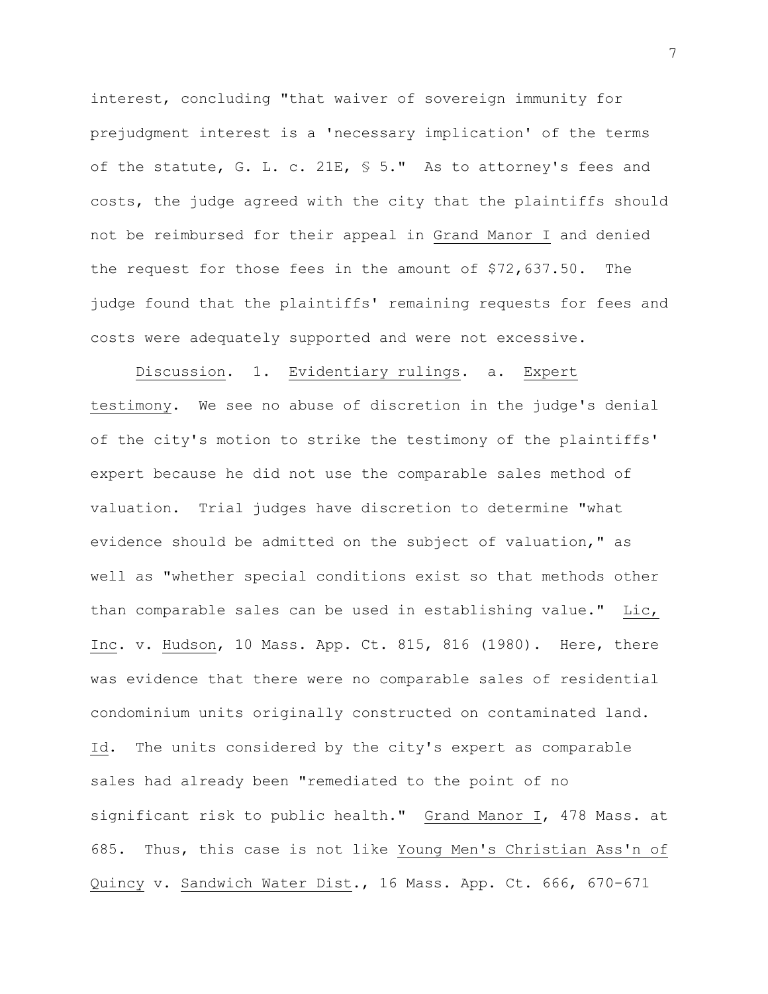interest, concluding "that waiver of sovereign immunity for prejudgment interest is a 'necessary implication' of the terms of the statute, G. L. c. 21E, § 5." As to attorney's fees and costs, the judge agreed with the city that the plaintiffs should not be reimbursed for their appeal in Grand Manor I and denied the request for those fees in the amount of \$72,637.50. The judge found that the plaintiffs' remaining requests for fees and costs were adequately supported and were not excessive.

Discussion. 1. Evidentiary rulings. a. Expert testimony. We see no abuse of discretion in the judge's denial of the city's motion to strike the testimony of the plaintiffs' expert because he did not use the comparable sales method of valuation. Trial judges have discretion to determine "what evidence should be admitted on the subject of valuation," as well as "whether special conditions exist so that methods other than comparable sales can be used in establishing value." Lic, Inc. v. Hudson, 10 Mass. App. Ct. 815, 816 (1980). Here, there was evidence that there were no comparable sales of residential condominium units originally constructed on contaminated land. Id. The units considered by the city's expert as comparable sales had already been "remediated to the point of no significant risk to public health." Grand Manor I, 478 Mass. at 685. Thus, this case is not like Young Men's Christian Ass'n of Quincy v. Sandwich Water Dist., 16 Mass. App. Ct. 666, 670-671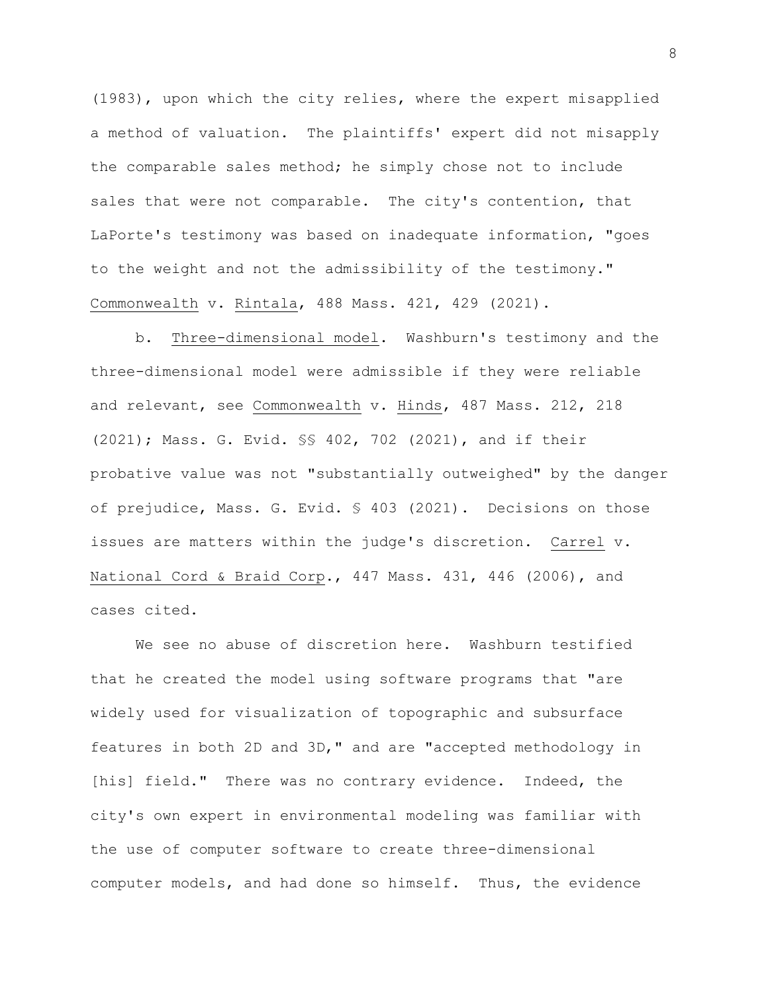(1983), upon which the city relies, where the expert misapplied a method of valuation. The plaintiffs' expert did not misapply the comparable sales method; he simply chose not to include sales that were not comparable. The city's contention, that LaPorte's testimony was based on inadequate information, "goes to the weight and not the admissibility of the testimony." Commonwealth v. Rintala, 488 Mass. 421, 429 (2021).

b. Three-dimensional model. Washburn's testimony and the three-dimensional model were admissible if they were reliable and relevant, see Commonwealth v. Hinds, 487 Mass. 212, 218 (2021); Mass. G. Evid. §§ 402, 702 (2021), and if their probative value was not "substantially outweighed" by the danger of prejudice, Mass. G. Evid. § 403 (2021). Decisions on those issues are matters within the judge's discretion. Carrel v. National Cord & Braid Corp., 447 Mass. 431, 446 (2006), and cases cited.

We see no abuse of discretion here. Washburn testified that he created the model using software programs that "are widely used for visualization of topographic and subsurface features in both 2D and 3D," and are "accepted methodology in [his] field." There was no contrary evidence. Indeed, the city's own expert in environmental modeling was familiar with the use of computer software to create three-dimensional computer models, and had done so himself. Thus, the evidence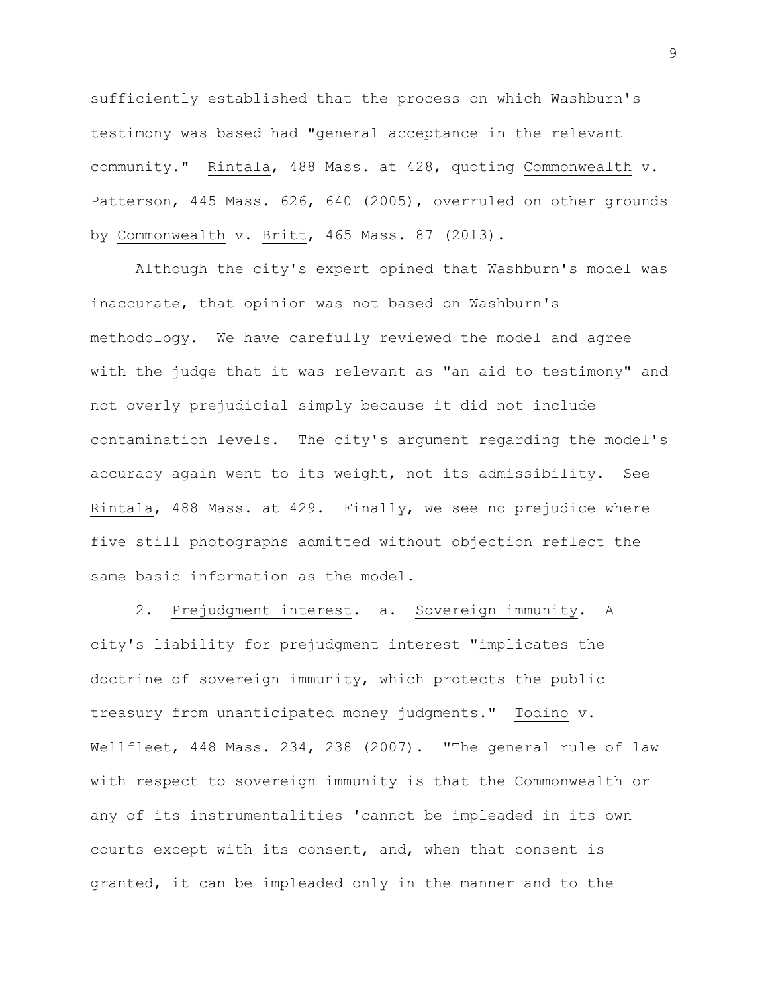sufficiently established that the process on which Washburn's testimony was based had "general acceptance in the relevant community." Rintala, 488 Mass. at 428, quoting Commonwealth v. Patterson, 445 Mass. 626, 640 (2005), overruled on other grounds by Commonwealth v. Britt, 465 Mass. 87 (2013).

Although the city's expert opined that Washburn's model was inaccurate, that opinion was not based on Washburn's methodology. We have carefully reviewed the model and agree with the judge that it was relevant as "an aid to testimony" and not overly prejudicial simply because it did not include contamination levels. The city's argument regarding the model's accuracy again went to its weight, not its admissibility. See Rintala, 488 Mass. at 429. Finally, we see no prejudice where five still photographs admitted without objection reflect the same basic information as the model.

2. Prejudgment interest. a. Sovereign immunity. A city's liability for prejudgment interest "implicates the doctrine of sovereign immunity, which protects the public treasury from unanticipated money judgments." Todino v. Wellfleet, 448 Mass. 234, 238 (2007). "The general rule of law with respect to sovereign immunity is that the Commonwealth or any of its instrumentalities 'cannot be impleaded in its own courts except with its consent, and, when that consent is granted, it can be impleaded only in the manner and to the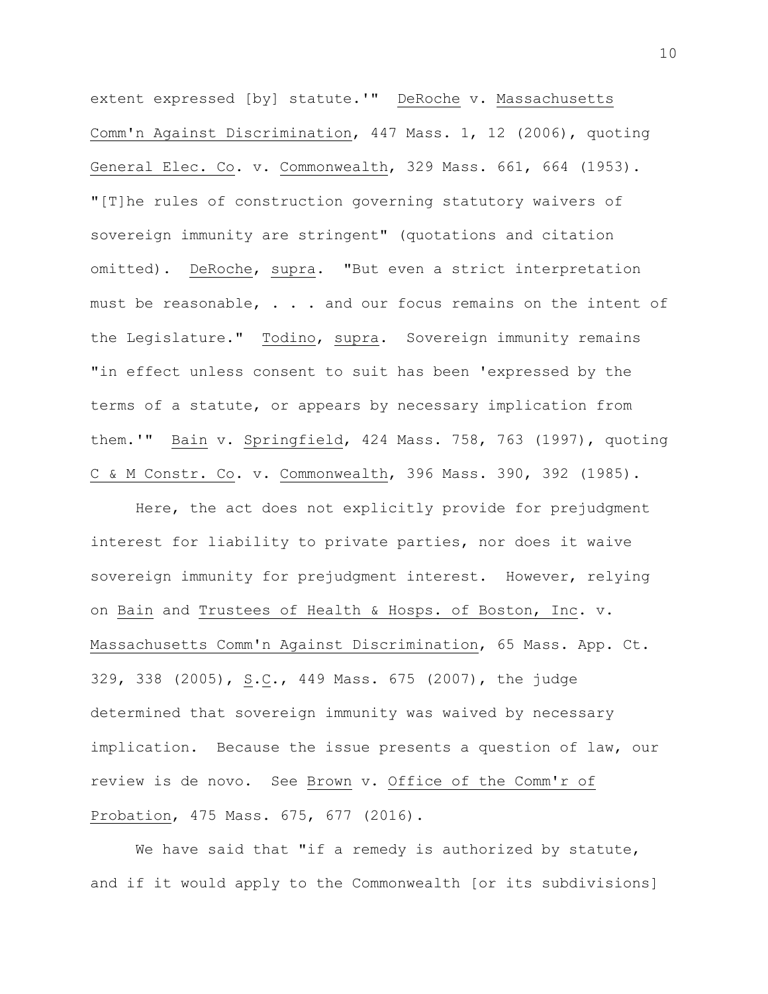extent expressed [by] statute.'" DeRoche v. Massachusetts Comm'n Against Discrimination, 447 Mass. 1, 12 (2006), quoting General Elec. Co. v. Commonwealth, 329 Mass. 661, 664 (1953). "[T]he rules of construction governing statutory waivers of sovereign immunity are stringent" (quotations and citation omitted). DeRoche, supra. "But even a strict interpretation must be reasonable, . . . and our focus remains on the intent of the Legislature." Todino, supra. Sovereign immunity remains "in effect unless consent to suit has been 'expressed by the terms of a statute, or appears by necessary implication from them.'" Bain v. Springfield, 424 Mass. 758, 763 (1997), quoting C & M Constr. Co. v. Commonwealth, 396 Mass. 390, 392 (1985).

Here, the act does not explicitly provide for prejudgment interest for liability to private parties, nor does it waive sovereign immunity for prejudgment interest. However, relying on Bain and Trustees of Health & Hosps. of Boston, Inc. v. Massachusetts Comm'n Against Discrimination, 65 Mass. App. Ct. 329, 338 (2005), S.C., 449 Mass. 675 (2007), the judge determined that sovereign immunity was waived by necessary implication. Because the issue presents a question of law, our review is de novo. See Brown v. Office of the Comm'r of Probation, 475 Mass. 675, 677 (2016).

We have said that "if a remedy is authorized by statute, and if it would apply to the Commonwealth [or its subdivisions]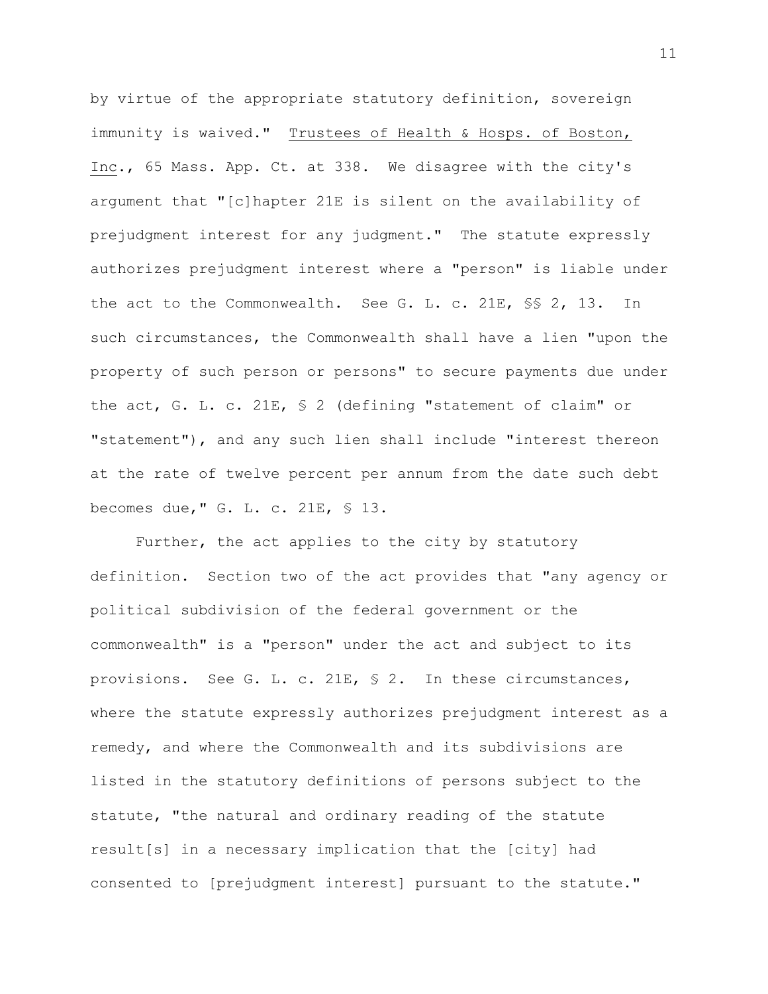by virtue of the appropriate statutory definition, sovereign immunity is waived." Trustees of Health & Hosps. of Boston, Inc., 65 Mass. App. Ct. at 338. We disagree with the city's argument that "[c]hapter 21E is silent on the availability of prejudgment interest for any judgment." The statute expressly authorizes prejudgment interest where a "person" is liable under the act to the Commonwealth. See G. L. c. 21E, §§ 2, 13. In such circumstances, the Commonwealth shall have a lien "upon the property of such person or persons" to secure payments due under the act, G. L. c. 21E, § 2 (defining "statement of claim" or "statement"), and any such lien shall include "interest thereon at the rate of twelve percent per annum from the date such debt becomes due," G. L. c. 21E, § 13.

Further, the act applies to the city by statutory definition. Section two of the act provides that "any agency or political subdivision of the federal government or the commonwealth" is a "person" under the act and subject to its provisions. See G. L. c. 21E, § 2. In these circumstances, where the statute expressly authorizes prejudgment interest as a remedy, and where the Commonwealth and its subdivisions are listed in the statutory definitions of persons subject to the statute, "the natural and ordinary reading of the statute result[s] in a necessary implication that the [city] had consented to [prejudgment interest] pursuant to the statute."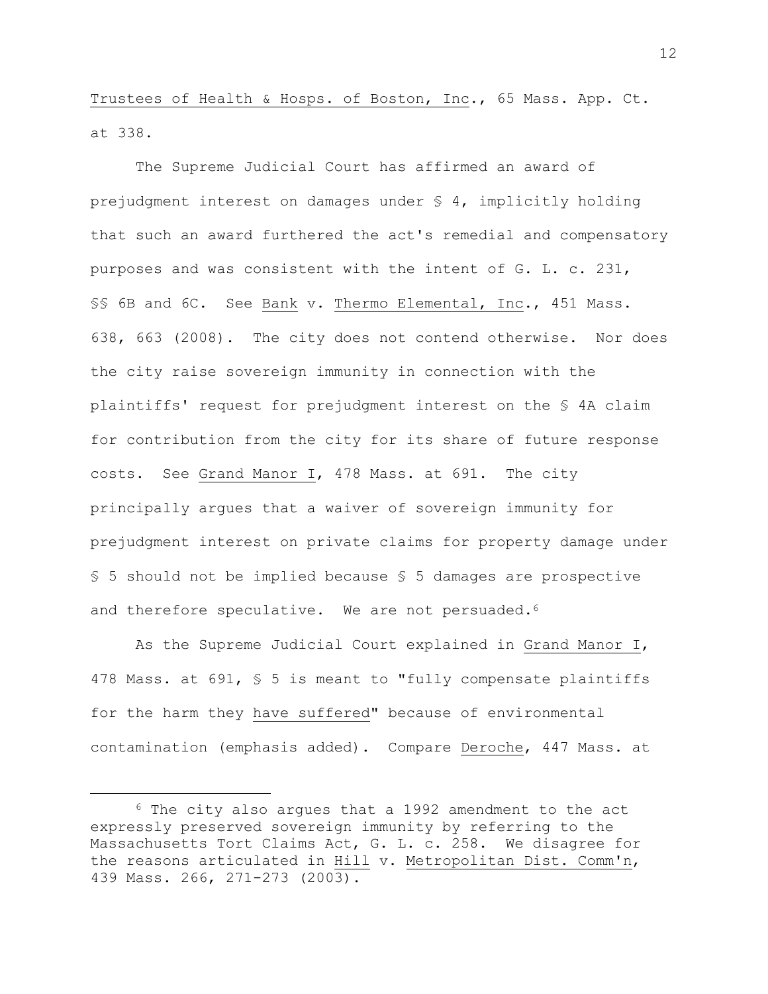Trustees of Health & Hosps. of Boston, Inc., 65 Mass. App. Ct. at 338.

The Supreme Judicial Court has affirmed an award of prejudgment interest on damages under § 4, implicitly holding that such an award furthered the act's remedial and compensatory purposes and was consistent with the intent of G. L. c. 231, §§ 6B and 6C. See Bank v. Thermo Elemental, Inc., 451 Mass. 638, 663 (2008). The city does not contend otherwise. Nor does the city raise sovereign immunity in connection with the plaintiffs' request for prejudgment interest on the § 4A claim for contribution from the city for its share of future response costs. See Grand Manor I, 478 Mass. at 691. The city principally argues that a waiver of sovereign immunity for prejudgment interest on private claims for property damage under § 5 should not be implied because § 5 damages are prospective and therefore speculative. We are not persuaded.<sup>6</sup>

As the Supreme Judicial Court explained in Grand Manor I, 478 Mass. at 691, § 5 is meant to "fully compensate plaintiffs for the harm they have suffered" because of environmental contamination (emphasis added). Compare Deroche, 447 Mass. at

<sup>6</sup> The city also argues that a 1992 amendment to the act expressly preserved sovereign immunity by referring to the Massachusetts Tort Claims Act, G. L. c. 258. We disagree for the reasons articulated in Hill v. Metropolitan Dist. Comm'n, 439 Mass. 266, 271-273 (2003).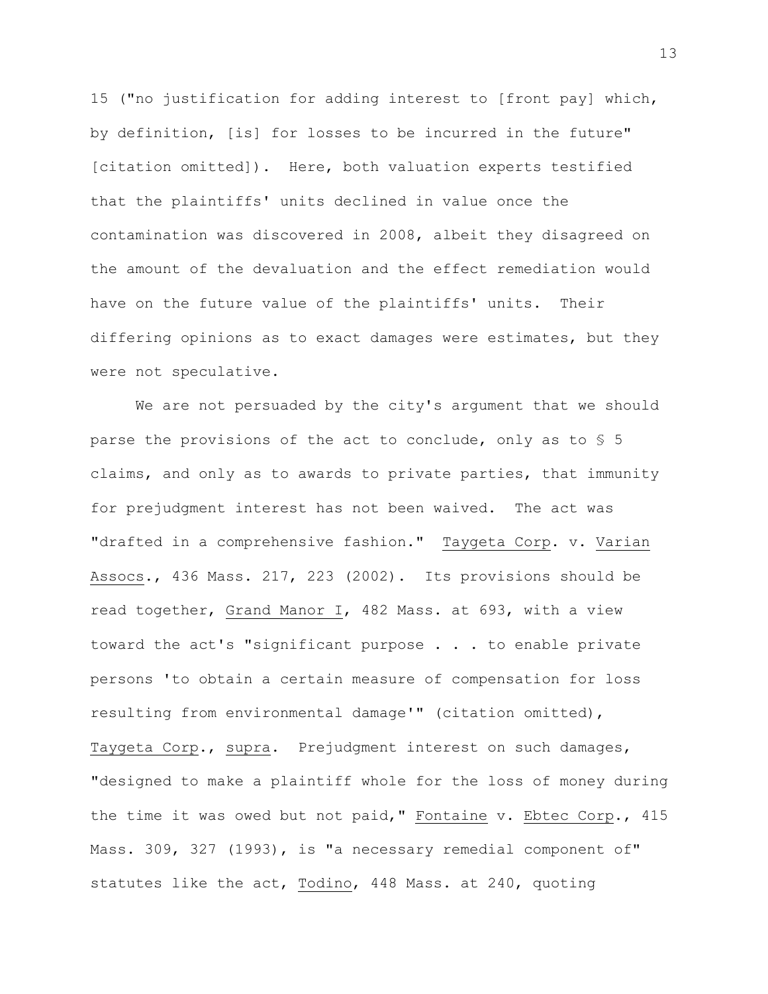15 ("no justification for adding interest to [front pay] which, by definition, [is] for losses to be incurred in the future" [citation omitted]). Here, both valuation experts testified that the plaintiffs' units declined in value once the contamination was discovered in 2008, albeit they disagreed on the amount of the devaluation and the effect remediation would have on the future value of the plaintiffs' units. Their differing opinions as to exact damages were estimates, but they were not speculative.

We are not persuaded by the city's argument that we should parse the provisions of the act to conclude, only as to § 5 claims, and only as to awards to private parties, that immunity for prejudgment interest has not been waived. The act was "drafted in a comprehensive fashion." Taygeta Corp. v. Varian Assocs., 436 Mass. 217, 223 (2002). Its provisions should be read together, Grand Manor I, 482 Mass. at 693, with a view toward the act's "significant purpose . . . to enable private persons 'to obtain a certain measure of compensation for loss resulting from environmental damage'" (citation omitted), Taygeta Corp., supra. Prejudgment interest on such damages, "designed to make a plaintiff whole for the loss of money during the time it was owed but not paid," Fontaine v. Ebtec Corp., 415 Mass. 309, 327 (1993), is "a necessary remedial component of" statutes like the act, Todino, 448 Mass. at 240, quoting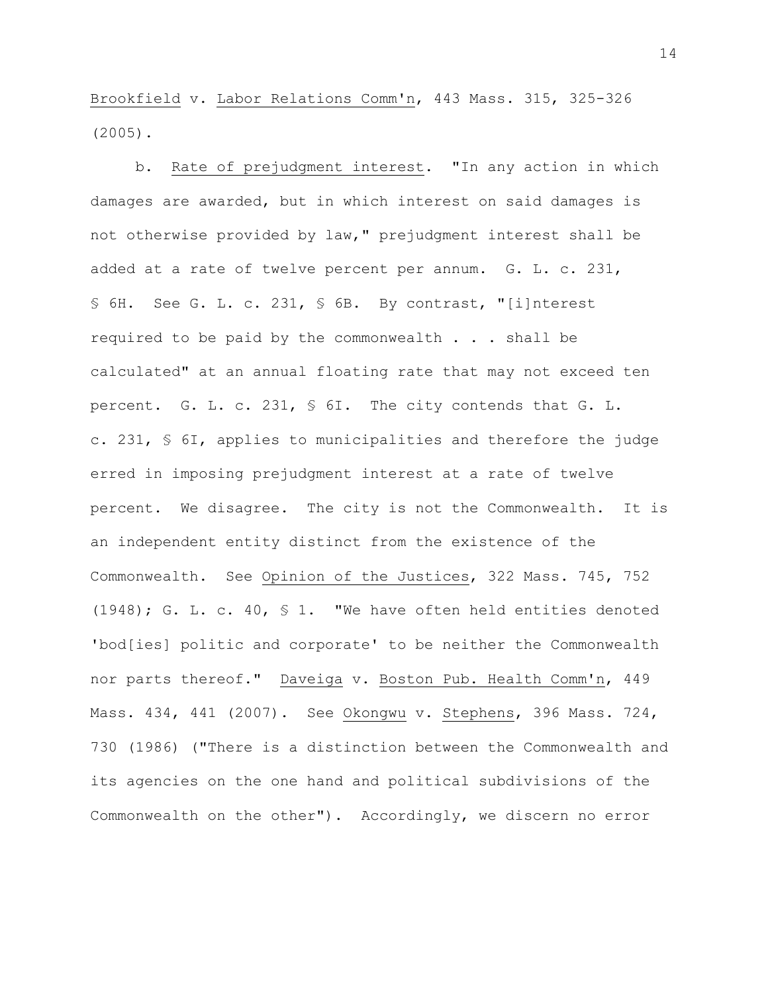Brookfield v. Labor Relations Comm'n, 443 Mass. 315, 325-326 (2005).

b. Rate of prejudgment interest. "In any action in which damages are awarded, but in which interest on said damages is not otherwise provided by law," prejudgment interest shall be added at a rate of twelve percent per annum. G. L. c. 231, § 6H. See G. L. c. 231, § 6B. By contrast, "[i]nterest required to be paid by the commonwealth . . . shall be calculated" at an annual floating rate that may not exceed ten percent. G. L. c. 231, § 6I. The city contends that G. L. c. 231, § 6I, applies to municipalities and therefore the judge erred in imposing prejudgment interest at a rate of twelve percent. We disagree. The city is not the Commonwealth. It is an independent entity distinct from the existence of the Commonwealth. See Opinion of the Justices, 322 Mass. 745, 752 (1948); G. L. c. 40, § 1. "We have often held entities denoted 'bod[ies] politic and corporate' to be neither the Commonwealth nor parts thereof." Daveiga v. Boston Pub. Health Comm'n, 449 Mass. 434, 441 (2007). See Okongwu v. Stephens, 396 Mass. 724, 730 (1986) ("There is a distinction between the Commonwealth and its agencies on the one hand and political subdivisions of the Commonwealth on the other"). Accordingly, we discern no error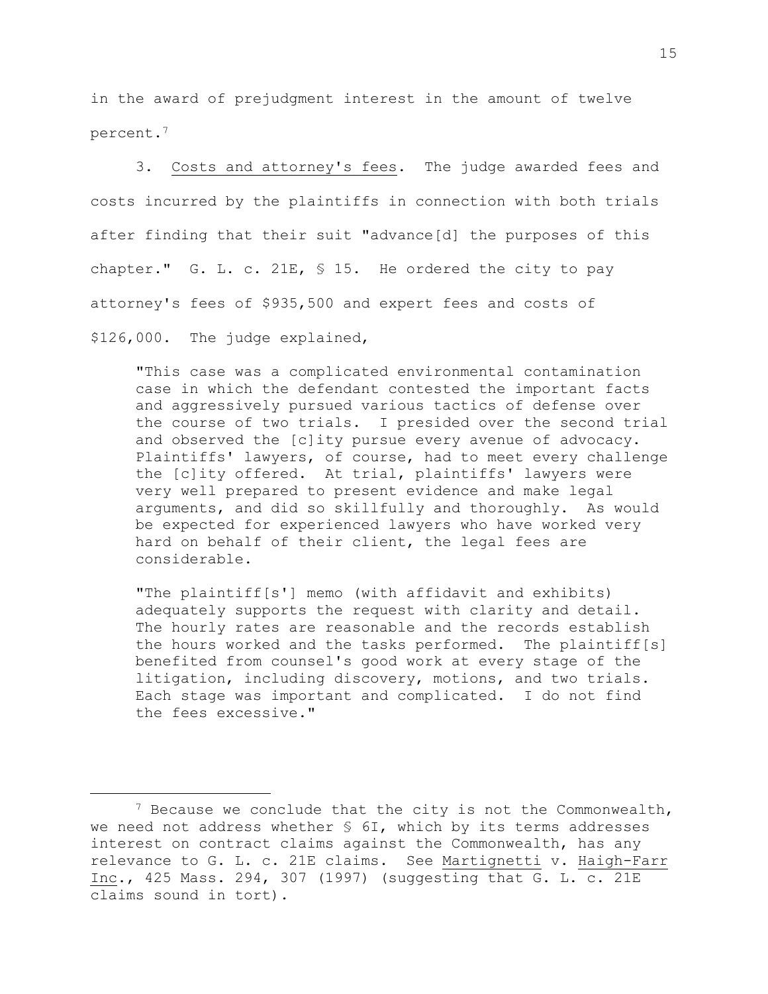in the award of prejudgment interest in the amount of twelve percent.<sup>7</sup>

3. Costs and attorney's fees. The judge awarded fees and costs incurred by the plaintiffs in connection with both trials after finding that their suit "advance[d] the purposes of this chapter." G. L. c. 21E, § 15. He ordered the city to pay attorney's fees of \$935,500 and expert fees and costs of \$126,000. The judge explained,

"This case was a complicated environmental contamination case in which the defendant contested the important facts and aggressively pursued various tactics of defense over the course of two trials. I presided over the second trial and observed the [c]ity pursue every avenue of advocacy. Plaintiffs' lawyers, of course, had to meet every challenge the [c]ity offered. At trial, plaintiffs' lawyers were very well prepared to present evidence and make legal arguments, and did so skillfully and thoroughly. As would be expected for experienced lawyers who have worked very hard on behalf of their client, the legal fees are considerable.

"The plaintiff[s'] memo (with affidavit and exhibits) adequately supports the request with clarity and detail. The hourly rates are reasonable and the records establish the hours worked and the tasks performed. The plaintiff[s] benefited from counsel's good work at every stage of the litigation, including discovery, motions, and two trials. Each stage was important and complicated. I do not find the fees excessive."

<sup>&</sup>lt;sup>7</sup> Because we conclude that the city is not the Commonwealth, we need not address whether § 6I, which by its terms addresses interest on contract claims against the Commonwealth, has any relevance to G. L. c. 21E claims. See Martignetti v. Haigh-Farr Inc., 425 Mass. 294, 307 (1997) (suggesting that G. L. c. 21E claims sound in tort).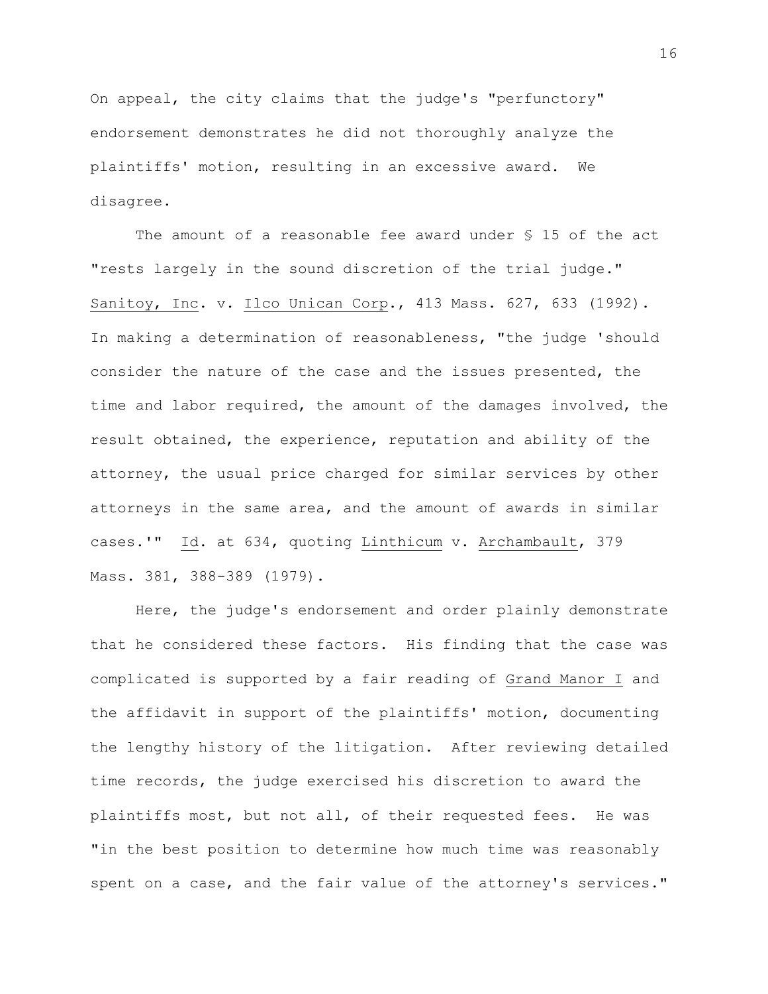On appeal, the city claims that the judge's "perfunctory" endorsement demonstrates he did not thoroughly analyze the plaintiffs' motion, resulting in an excessive award. We disagree.

The amount of a reasonable fee award under § 15 of the act "rests largely in the sound discretion of the trial judge." Sanitoy, Inc. v. Ilco Unican Corp., 413 Mass. 627, 633 (1992). In making a determination of reasonableness, "the judge 'should consider the nature of the case and the issues presented, the time and labor required, the amount of the damages involved, the result obtained, the experience, reputation and ability of the attorney, the usual price charged for similar services by other attorneys in the same area, and the amount of awards in similar cases.'" Id. at 634, quoting Linthicum v. Archambault, 379 Mass. 381, 388-389 (1979).

Here, the judge's endorsement and order plainly demonstrate that he considered these factors. His finding that the case was complicated is supported by a fair reading of Grand Manor I and the affidavit in support of the plaintiffs' motion, documenting the lengthy history of the litigation. After reviewing detailed time records, the judge exercised his discretion to award the plaintiffs most, but not all, of their requested fees. He was "in the best position to determine how much time was reasonably spent on a case, and the fair value of the attorney's services."